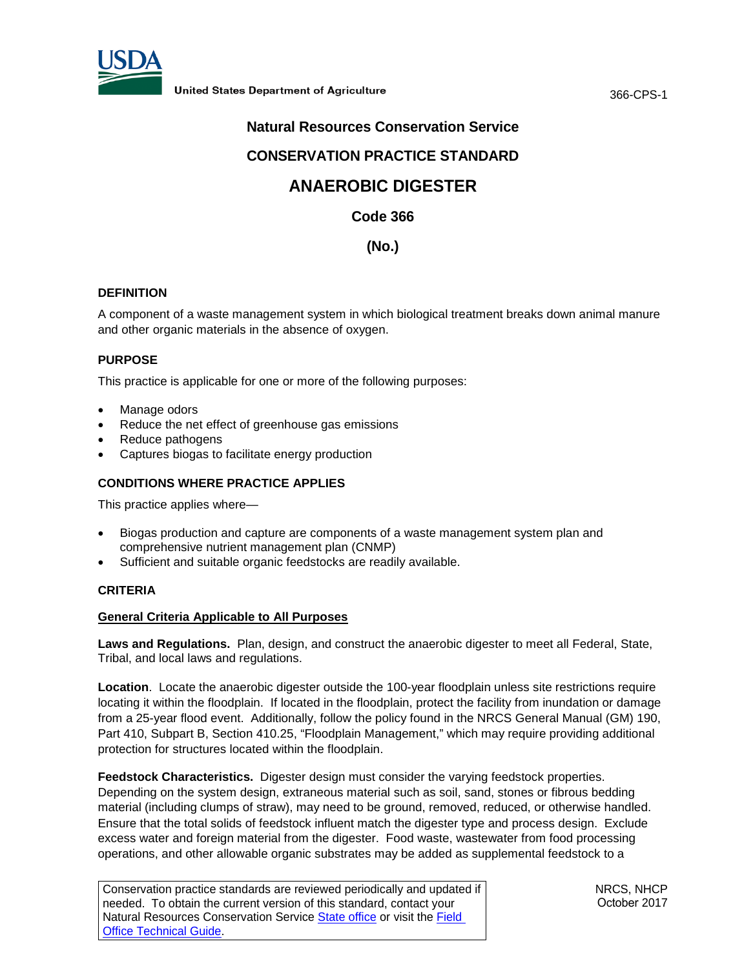

366-CPS-1

# **Natural Resources Conservation Service**

# **CONSERVATION PRACTICE STANDARD**

# **ANAEROBIC DIGESTER**

**Code 366**

# **(No.)**

# **DEFINITION**

A component of a waste management system in which biological treatment breaks down animal manure and other organic materials in the absence of oxygen.

## **PURPOSE**

This practice is applicable for one or more of the following purposes:

- Manage odors
- Reduce the net effect of greenhouse gas emissions
- Reduce pathogens
- Captures biogas to facilitate energy production

# **CONDITIONS WHERE PRACTICE APPLIES**

This practice applies where—

- Biogas production and capture are components of a waste management system plan and comprehensive nutrient management plan (CNMP)
- Sufficient and suitable organic feedstocks are readily available.

#### **CRITERIA**

#### **General Criteria Applicable to All Purposes**

**Laws and Regulations.** Plan, design, and construct the anaerobic digester to meet all Federal, State, Tribal, and local laws and regulations.

**Location**. Locate the anaerobic digester outside the 100-year floodplain unless site restrictions require locating it within the floodplain. If located in the floodplain, protect the facility from inundation or damage from a 25-year flood event. Additionally, follow the policy found in the NRCS General Manual (GM) 190, Part 410, Subpart B, Section 410.25, "Floodplain Management," which may require providing additional protection for structures located within the floodplain.

**Feedstock Characteristics.** Digester design must consider the varying feedstock properties. Depending on the system design, extraneous material such as soil, sand, stones or fibrous bedding material (including clumps of straw), may need to be ground, removed, reduced, or otherwise handled. Ensure that the total solids of feedstock influent match the digester type and process design. Exclude excess water and foreign material from the digester. Food waste, wastewater from food processing operations, and other allowable organic substrates may be added as supplemental feedstock to a

| Conservation practice standards are reviewed periodically and updated if |
|--------------------------------------------------------------------------|
| needed. To obtain the current version of this standard, contact your     |
| Natural Resources Conservation Service State office or visit the Field   |
| <b>Office Technical Guide</b>                                            |

NRCS, NHCP October 2017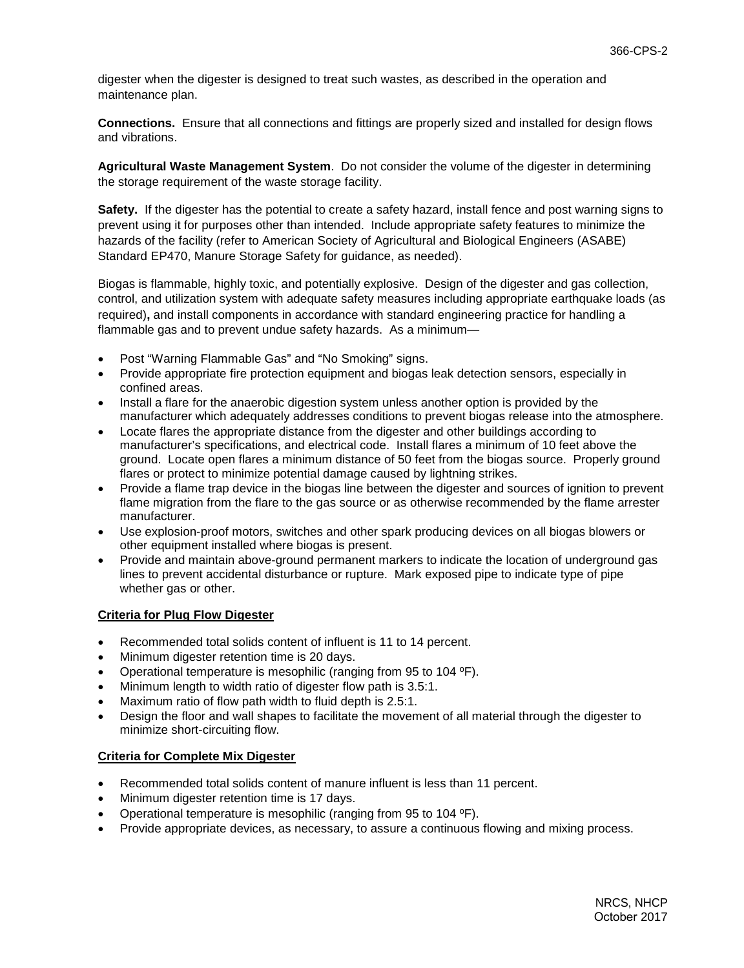digester when the digester is designed to treat such wastes, as described in the operation and maintenance plan.

**Connections.** Ensure that all connections and fittings are properly sized and installed for design flows and vibrations.

**Agricultural Waste Management System**. Do not consider the volume of the digester in determining the storage requirement of the waste storage facility.

**Safety.** If the digester has the potential to create a safety hazard, install fence and post warning signs to prevent using it for purposes other than intended. Include appropriate safety features to minimize the hazards of the facility (refer to American Society of Agricultural and Biological Engineers (ASABE) Standard EP470, Manure Storage Safety for guidance, as needed).

Biogas is flammable, highly toxic, and potentially explosive. Design of the digester and gas collection, control, and utilization system with adequate safety measures including appropriate earthquake loads (as required)**,** and install components in accordance with standard engineering practice for handling a flammable gas and to prevent undue safety hazards. As a minimum—

- Post "Warning Flammable Gas" and "No Smoking" signs.
- Provide appropriate fire protection equipment and biogas leak detection sensors, especially in confined areas.
- Install a flare for the anaerobic digestion system unless another option is provided by the manufacturer which adequately addresses conditions to prevent biogas release into the atmosphere.
- Locate flares the appropriate distance from the digester and other buildings according to manufacturer's specifications, and electrical code. Install flares a minimum of 10 feet above the ground. Locate open flares a minimum distance of 50 feet from the biogas source. Properly ground flares or protect to minimize potential damage caused by lightning strikes.
- Provide a flame trap device in the biogas line between the digester and sources of ignition to prevent flame migration from the flare to the gas source or as otherwise recommended by the flame arrester manufacturer.
- Use explosion-proof motors, switches and other spark producing devices on all biogas blowers or other equipment installed where biogas is present.
- Provide and maintain above-ground permanent markers to indicate the location of underground gas lines to prevent accidental disturbance or rupture. Mark exposed pipe to indicate type of pipe whether gas or other.

# **Criteria for Plug Flow Digester**

- Recommended total solids content of influent is 11 to 14 percent.
- Minimum digester retention time is 20 days.
- Operational temperature is mesophilic (ranging from 95 to 104 ºF).
- Minimum length to width ratio of digester flow path is 3.5:1.
- Maximum ratio of flow path width to fluid depth is 2.5:1.
- Design the floor and wall shapes to facilitate the movement of all material through the digester to minimize short-circuiting flow.

#### **Criteria for Complete Mix Digester**

- Recommended total solids content of manure influent is less than 11 percent.
- Minimum digester retention time is 17 days.
- Operational temperature is mesophilic (ranging from 95 to 104 ºF).
- Provide appropriate devices, as necessary, to assure a continuous flowing and mixing process.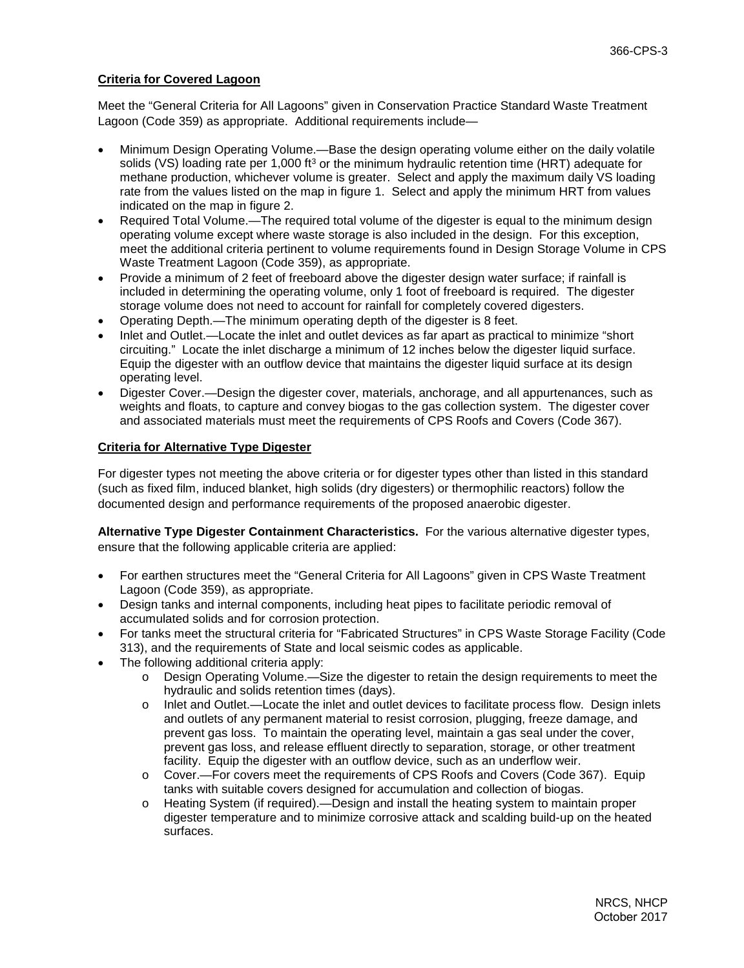## **Criteria for Covered Lagoon**

Meet the "General Criteria for All Lagoons" given in Conservation Practice Standard Waste Treatment Lagoon (Code 359) as appropriate. Additional requirements include—

- Minimum Design Operating Volume.—Base the design operating volume either on the daily volatile solids (VS) loading rate per 1,000 ft<sup>3</sup> or the minimum hydraulic retention time (HRT) adequate for methane production, whichever volume is greater. Select and apply the maximum daily VS loading rate from the values listed on the map in figure 1. Select and apply the minimum HRT from values indicated on the map in figure 2.
- Required Total Volume.—The required total volume of the digester is equal to the minimum design operating volume except where waste storage is also included in the design. For this exception, meet the additional criteria pertinent to volume requirements found in Design Storage Volume in CPS Waste Treatment Lagoon (Code 359), as appropriate.
- Provide a minimum of 2 feet of freeboard above the digester design water surface; if rainfall is included in determining the operating volume, only 1 foot of freeboard is required. The digester storage volume does not need to account for rainfall for completely covered digesters.
- Operating Depth.—The minimum operating depth of the digester is 8 feet.
- Inlet and Outlet.—Locate the inlet and outlet devices as far apart as practical to minimize "short circuiting." Locate the inlet discharge a minimum of 12 inches below the digester liquid surface. Equip the digester with an outflow device that maintains the digester liquid surface at its design operating level.
- Digester Cover.—Design the digester cover, materials, anchorage, and all appurtenances, such as weights and floats, to capture and convey biogas to the gas collection system. The digester cover and associated materials must meet the requirements of CPS Roofs and Covers (Code 367).

## **Criteria for Alternative Type Digester**

For digester types not meeting the above criteria or for digester types other than listed in this standard (such as fixed film, induced blanket, high solids (dry digesters) or thermophilic reactors) follow the documented design and performance requirements of the proposed anaerobic digester.

**Alternative Type Digester Containment Characteristics.** For the various alternative digester types, ensure that the following applicable criteria are applied:

- For earthen structures meet the "General Criteria for All Lagoons" given in CPS Waste Treatment Lagoon (Code 359), as appropriate.
- Design tanks and internal components, including heat pipes to facilitate periodic removal of accumulated solids and for corrosion protection.
- For tanks meet the structural criteria for "Fabricated Structures" in CPS Waste Storage Facility (Code 313), and the requirements of State and local seismic codes as applicable.
- The following additional criteria apply:
	- o Design Operating Volume.—Size the digester to retain the design requirements to meet the hydraulic and solids retention times (days).
	- o Inlet and Outlet.—Locate the inlet and outlet devices to facilitate process flow. Design inlets and outlets of any permanent material to resist corrosion, plugging, freeze damage, and prevent gas loss. To maintain the operating level, maintain a gas seal under the cover, prevent gas loss, and release effluent directly to separation, storage, or other treatment facility. Equip the digester with an outflow device, such as an underflow weir.
	- o Cover.—For covers meet the requirements of CPS Roofs and Covers (Code 367). Equip tanks with suitable covers designed for accumulation and collection of biogas.
	- o Heating System (if required).—Design and install the heating system to maintain proper digester temperature and to minimize corrosive attack and scalding build-up on the heated surfaces.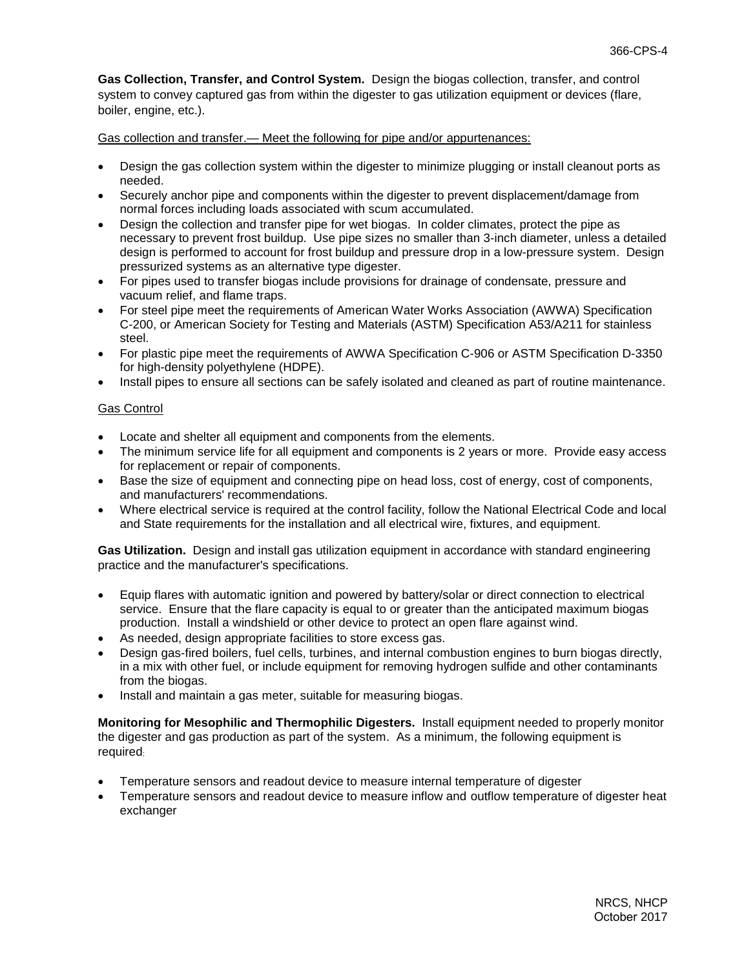**Gas Collection, Transfer, and Control System.** Design the biogas collection, transfer, and control system to convey captured gas from within the digester to gas utilization equipment or devices (flare, boiler, engine, etc.).

Gas collection and transfer.— Meet the following for pipe and/or appurtenances:

- Design the gas collection system within the digester to minimize plugging or install cleanout ports as needed.
- Securely anchor pipe and components within the digester to prevent displacement/damage from normal forces including loads associated with scum accumulated.
- Design the collection and transfer pipe for wet biogas. In colder climates, protect the pipe as necessary to prevent frost buildup. Use pipe sizes no smaller than 3-inch diameter, unless a detailed design is performed to account for frost buildup and pressure drop in a low-pressure system. Design pressurized systems as an alternative type digester.
- For pipes used to transfer biogas include provisions for drainage of condensate, pressure and vacuum relief, and flame traps.
- For steel pipe meet the requirements of American Water Works Association (AWWA) Specification C-200, or American Society for Testing and Materials (ASTM) Specification A53/A211 for stainless steel.
- For plastic pipe meet the requirements of AWWA Specification C-906 or ASTM Specification D-3350 for high-density polyethylene (HDPE).
- Install pipes to ensure all sections can be safely isolated and cleaned as part of routine maintenance.

#### Gas Control

- Locate and shelter all equipment and components from the elements.
- The minimum service life for all equipment and components is 2 years or more. Provide easy access for replacement or repair of components.
- Base the size of equipment and connecting pipe on head loss, cost of energy, cost of components, and manufacturers' recommendations.
- Where electrical service is required at the control facility, follow the National Electrical Code and local and State requirements for the installation and all electrical wire, fixtures, and equipment.

**Gas Utilization.** Design and install gas utilization equipment in accordance with standard engineering practice and the manufacturer's specifications.

- Equip flares with automatic ignition and powered by battery/solar or direct connection to electrical service. Ensure that the flare capacity is equal to or greater than the anticipated maximum biogas production. Install a windshield or other device to protect an open flare against wind.
- As needed, design appropriate facilities to store excess gas.
- Design gas-fired boilers, fuel cells, turbines, and internal combustion engines to burn biogas directly, in a mix with other fuel, or include equipment for removing hydrogen sulfide and other contaminants from the biogas.
- Install and maintain a gas meter, suitable for measuring biogas.

**Monitoring for Mesophilic and Thermophilic Digesters.** Install equipment needed to properly monitor the digester and gas production as part of the system. As a minimum, the following equipment is required:

- Temperature sensors and readout device to measure internal temperature of digester
- Temperature sensors and readout device to measure inflow and outflow temperature of digester heat exchanger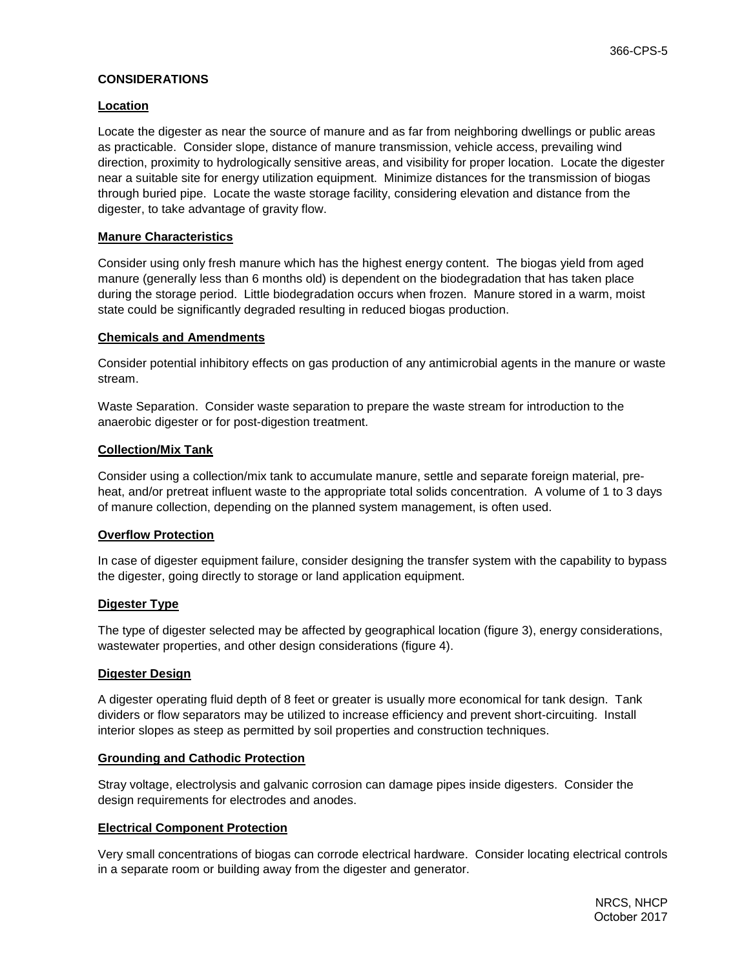## **CONSIDERATIONS**

#### **Location**

Locate the digester as near the source of manure and as far from neighboring dwellings or public areas as practicable. Consider slope, distance of manure transmission, vehicle access, prevailing wind direction, proximity to hydrologically sensitive areas, and visibility for proper location. Locate the digester near a suitable site for energy utilization equipment. Minimize distances for the transmission of biogas through buried pipe. Locate the waste storage facility, considering elevation and distance from the digester, to take advantage of gravity flow.

#### **Manure Characteristics**

Consider using only fresh manure which has the highest energy content. The biogas yield from aged manure (generally less than 6 months old) is dependent on the biodegradation that has taken place during the storage period. Little biodegradation occurs when frozen. Manure stored in a warm, moist state could be significantly degraded resulting in reduced biogas production.

#### **Chemicals and Amendments**

Consider potential inhibitory effects on gas production of any antimicrobial agents in the manure or waste stream.

Waste Separation. Consider waste separation to prepare the waste stream for introduction to the anaerobic digester or for post-digestion treatment.

#### **Collection/Mix Tank**

Consider using a collection/mix tank to accumulate manure, settle and separate foreign material, preheat, and/or pretreat influent waste to the appropriate total solids concentration. A volume of 1 to 3 days of manure collection, depending on the planned system management, is often used.

#### **Overflow Protection**

In case of digester equipment failure, consider designing the transfer system with the capability to bypass the digester, going directly to storage or land application equipment.

#### **Digester Type**

The type of digester selected may be affected by geographical location (figure 3), energy considerations, wastewater properties, and other design considerations (figure 4).

#### **Digester Design**

A digester operating fluid depth of 8 feet or greater is usually more economical for tank design. Tank dividers or flow separators may be utilized to increase efficiency and prevent short-circuiting. Install interior slopes as steep as permitted by soil properties and construction techniques.

#### **Grounding and Cathodic Protection**

Stray voltage, electrolysis and galvanic corrosion can damage pipes inside digesters. Consider the design requirements for electrodes and anodes.

#### **Electrical Component Protection**

Very small concentrations of biogas can corrode electrical hardware. Consider locating electrical controls in a separate room or building away from the digester and generator.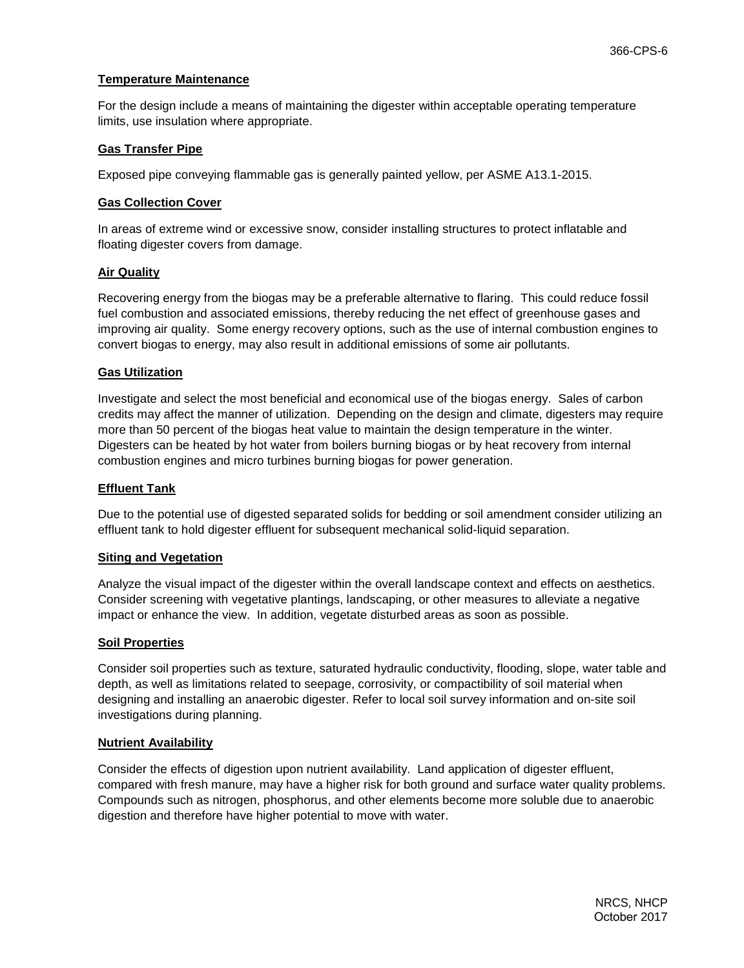## **Temperature Maintenance**

For the design include a means of maintaining the digester within acceptable operating temperature limits, use insulation where appropriate.

## **Gas Transfer Pipe**

Exposed pipe conveying flammable gas is generally painted yellow, per ASME A13.1-2015.

#### **Gas Collection Cover**

In areas of extreme wind or excessive snow, consider installing structures to protect inflatable and floating digester covers from damage.

## **Air Quality**

Recovering energy from the biogas may be a preferable alternative to flaring. This could reduce fossil fuel combustion and associated emissions, thereby reducing the net effect of greenhouse gases and improving air quality. Some energy recovery options, such as the use of internal combustion engines to convert biogas to energy, may also result in additional emissions of some air pollutants.

## **Gas Utilization**

Investigate and select the most beneficial and economical use of the biogas energy. Sales of carbon credits may affect the manner of utilization. Depending on the design and climate, digesters may require more than 50 percent of the biogas heat value to maintain the design temperature in the winter. Digesters can be heated by hot water from boilers burning biogas or by heat recovery from internal combustion engines and micro turbines burning biogas for power generation.

## **Effluent Tank**

Due to the potential use of digested separated solids for bedding or soil amendment consider utilizing an effluent tank to hold digester effluent for subsequent mechanical solid-liquid separation.

#### **Siting and Vegetation**

Analyze the visual impact of the digester within the overall landscape context and effects on aesthetics. Consider screening with vegetative plantings, landscaping, or other measures to alleviate a negative impact or enhance the view. In addition, vegetate disturbed areas as soon as possible.

#### **Soil Properties**

Consider soil properties such as texture, saturated hydraulic conductivity, flooding, slope, water table and depth, as well as limitations related to seepage, corrosivity, or compactibility of soil material when designing and installing an anaerobic digester. Refer to local soil survey information and on-site soil investigations during planning.

#### **Nutrient Availability**

Consider the effects of digestion upon nutrient availability. Land application of digester effluent, compared with fresh manure, may have a higher risk for both ground and surface water quality problems. Compounds such as nitrogen, phosphorus, and other elements become more soluble due to anaerobic digestion and therefore have higher potential to move with water.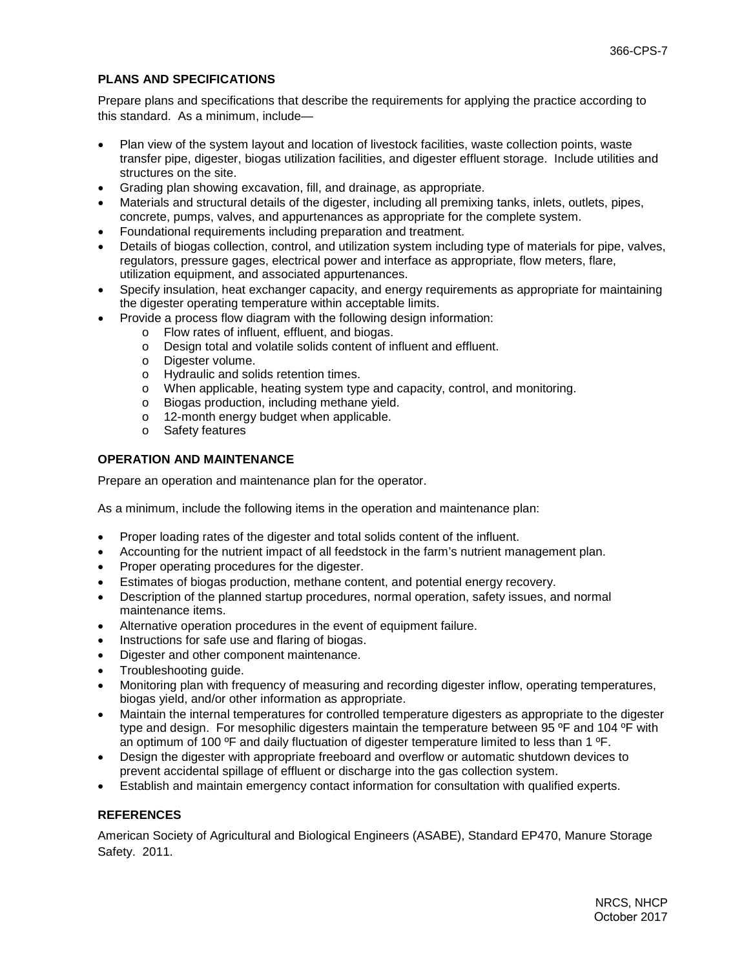# **PLANS AND SPECIFICATIONS**

Prepare plans and specifications that describe the requirements for applying the practice according to this standard. As a minimum, include—

- Plan view of the system layout and location of livestock facilities, waste collection points, waste transfer pipe, digester, biogas utilization facilities, and digester effluent storage. Include utilities and structures on the site.
- Grading plan showing excavation, fill, and drainage, as appropriate.
- Materials and structural details of the digester, including all premixing tanks, inlets, outlets, pipes, concrete, pumps, valves, and appurtenances as appropriate for the complete system.
- Foundational requirements including preparation and treatment.
- Details of biogas collection, control, and utilization system including type of materials for pipe, valves, regulators, pressure gages, electrical power and interface as appropriate, flow meters, flare, utilization equipment, and associated appurtenances.
- Specify insulation, heat exchanger capacity, and energy requirements as appropriate for maintaining the digester operating temperature within acceptable limits.
	- Provide a process flow diagram with the following design information:
		- o Flow rates of influent, effluent, and biogas.
		- o Design total and volatile solids content of influent and effluent.
		- o Digester volume.
		- o Hydraulic and solids retention times.
		- o When applicable, heating system type and capacity, control, and monitoring.
		- o Biogas production, including methane yield.<br>
		o 12-month energy budget when applicable.
		- 12-month energy budget when applicable.
		- o Safety features

# **OPERATION AND MAINTENANCE**

Prepare an operation and maintenance plan for the operator.

As a minimum, include the following items in the operation and maintenance plan:

- Proper loading rates of the digester and total solids content of the influent.
- Accounting for the nutrient impact of all feedstock in the farm's nutrient management plan.
- Proper operating procedures for the digester.
- Estimates of biogas production, methane content, and potential energy recovery.
- Description of the planned startup procedures, normal operation, safety issues, and normal maintenance items.
- Alternative operation procedures in the event of equipment failure.
- Instructions for safe use and flaring of biogas.
- Digester and other component maintenance.
- Troubleshooting guide.
- Monitoring plan with frequency of measuring and recording digester inflow, operating temperatures, biogas yield, and/or other information as appropriate.
- Maintain the internal temperatures for controlled temperature digesters as appropriate to the digester type and design. For mesophilic digesters maintain the temperature between 95 ºF and 104 ºF with an optimum of 100  $\textdegree$ F and daily fluctuation of digester temperature limited to less than 1  $\textdegree$ F.
- Design the digester with appropriate freeboard and overflow or automatic shutdown devices to prevent accidental spillage of effluent or discharge into the gas collection system.
- Establish and maintain emergency contact information for consultation with qualified experts.

# **REFERENCES**

American Society of Agricultural and Biological Engineers (ASABE), Standard EP470, Manure Storage Safety. 2011.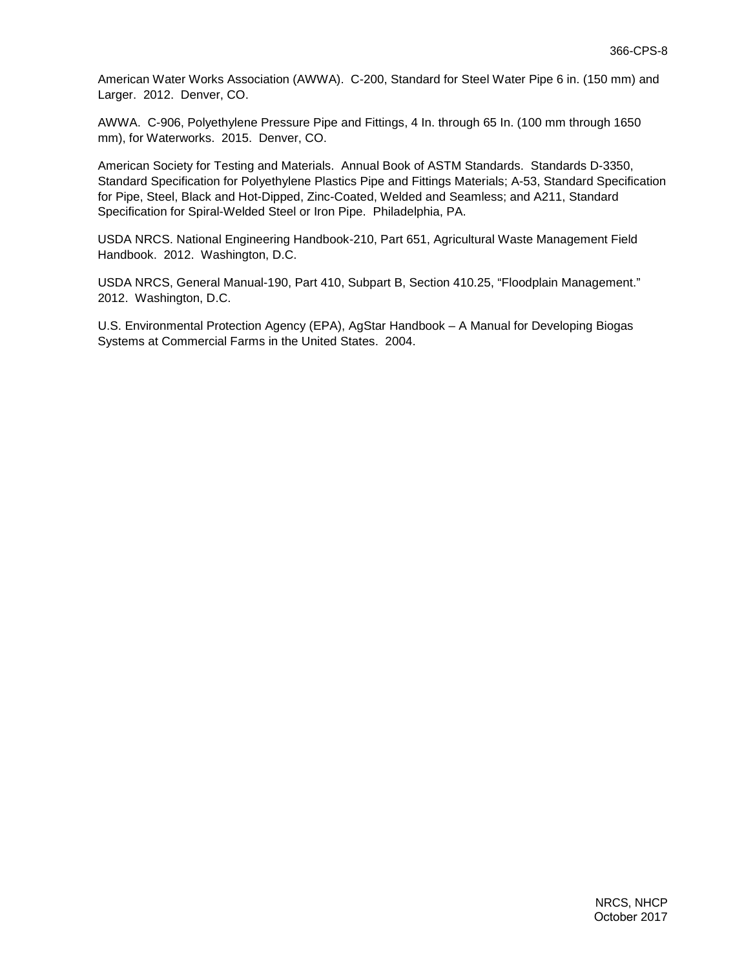American Water Works Association (AWWA). C-200, Standard for Steel Water Pipe 6 in. (150 mm) and Larger. 2012. Denver, CO.

AWWA. C-906, Polyethylene Pressure Pipe and Fittings, 4 In. through 65 In. (100 mm through 1650 mm), for Waterworks. 2015. Denver, CO.

American Society for Testing and Materials. Annual Book of ASTM Standards. Standards D-3350, Standard Specification for Polyethylene Plastics Pipe and Fittings Materials; A-53, Standard Specification for Pipe, Steel, Black and Hot-Dipped, Zinc-Coated, Welded and Seamless; and A211, Standard Specification for Spiral-Welded Steel or Iron Pipe. Philadelphia, PA.

USDA NRCS. National Engineering Handbook-210, Part 651, Agricultural Waste Management Field Handbook. 2012. Washington, D.C.

USDA NRCS, General Manual-190, Part 410, Subpart B, Section 410.25, "Floodplain Management." 2012. Washington, D.C.

U.S. Environmental Protection Agency (EPA), AgStar Handbook – A Manual for Developing Biogas Systems at Commercial Farms in the United States. 2004.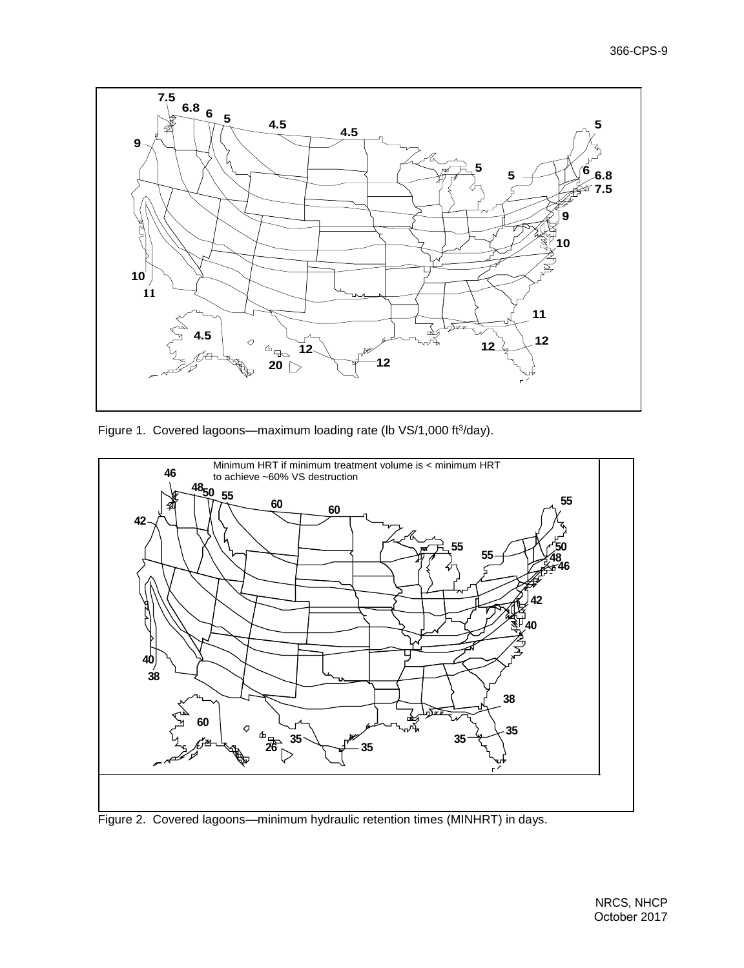

Figure 1. Covered lagoons—maximum loading rate (lb VS/1,000 ft<sup>3</sup>/day).



Figure 2. Covered lagoons—minimum hydraulic retention times (MINHRT) in days.